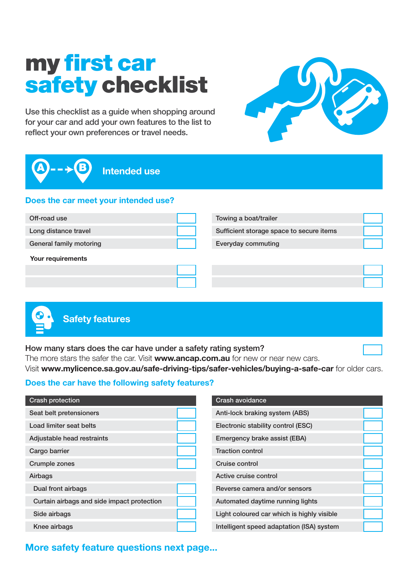# my first car safety checklist

Use this checklist as a guide when shopping around for your car and add your own features to the list to reflect your own preferences or travel needs.



Intended use

#### Does the car meet your intended use?

| Off-road use            | Towing a boat/trailer                    |  |
|-------------------------|------------------------------------------|--|
| Long distance travel    | Sufficient storage space to secure items |  |
| General family motoring | <b>Everyday commuting</b>                |  |
| Your requirements       |                                          |  |
|                         |                                          |  |
|                         |                                          |  |
|                         |                                          |  |



How many stars does the car have under a safety rating system?

The more stars the safer the car. Visit www.ancap.com.au for new or near new cars.

Visit www.mylicence.sa.gov.au/safe-driving-tips/safer-vehicles/buying-a-safe-car for older cars.

#### Does the car have the following safety features?

| <b>Crash protection</b>                    |  |
|--------------------------------------------|--|
| Seat belt pretensioners                    |  |
| Load limiter seat belts                    |  |
| Adjustable head restraints                 |  |
| Cargo barrier                              |  |
| <b>Crumple zones</b>                       |  |
| Airbags                                    |  |
| Dual front airbags                         |  |
| Curtain airbags and side impact protection |  |
| Side airbags                               |  |
| Knee airbags                               |  |

| <b>Crash avoidance</b>                     |  |
|--------------------------------------------|--|
| Anti-lock braking system (ABS)             |  |
| Electronic stability control (ESC)         |  |
| Emergency brake assist (EBA)               |  |
| <b>Traction control</b>                    |  |
| Cruise control                             |  |
| Active cruise control                      |  |
| Reverse camera and/or sensors              |  |
| Automated daytime running lights           |  |
| Light coloured car which is highly visible |  |
| Intelligent speed adaptation (ISA) system  |  |

### More safety feature questions next page...